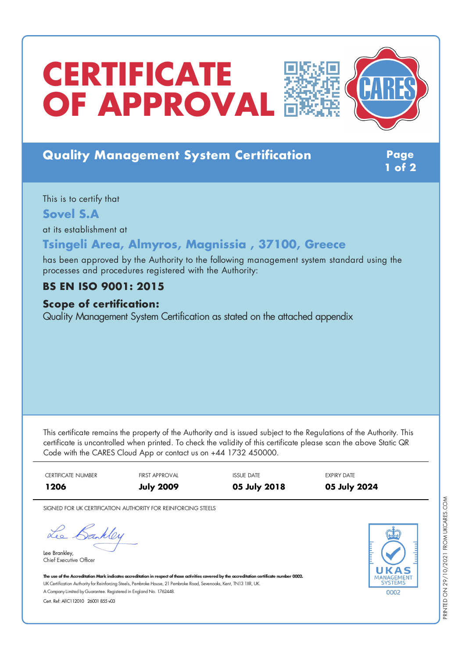# **CERTIFICATE OF APPROVAL**

# **Quality Management System Certification Page**

**1 of 2**

This is to certify that

**Sovel S.A**

at its establishment at

## **Tsingeli Area, Almyros, Magnissia , 37100, Greece**

has been approved by the Authority to the following management system standard using the processes and procedures registered with the Authority:

## **BS EN ISO 9001: 2015**

#### **Scope of certification:**

Quality Management System Certification as stated on the attached appendix

This certificate remains the property of the Authority and is issued subject to the Regulations of the Authority. This certificate is uncontrolled when printed. To check the validity of this certificate please scan the above Static QR Code with the CARES Cloud App or contact us on +44 1732 450000.

| CERTIFICATE NUMBER | <b>FIRST APPROVAL</b> | <b>ISSUE DATE</b> | EXPIRY DATE  |
|--------------------|-----------------------|-------------------|--------------|
| 1206               | <b>July 2009</b>      | 05 July 2018      | 05 July 2024 |

SIGNED FOR UK CERTIFICATION AUTHORITY FOR REINFORCING STEELS

Lee Bankley

Lee Brankley, Chief Executive Officer 0002

The use of the Accreditation Mark indicates accreditation in respect of those activities covered by the accreditation certificate number 0002. UK Certification Authority for Reinforcing Steels, Pembroke House, 21 Pembroke Road, Sevenoaks, Kent, TN13 1XR, UK. A CompanyLimited byGuarantee. Registered in England No. 1762448.

Cert. Ref: AllC112010 26001 855 v03